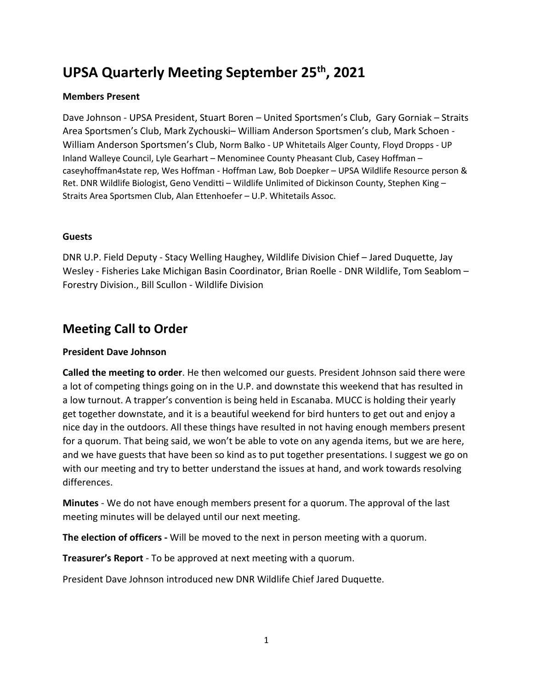# **UPSA Quarterly Meeting September 25th , 2021**

#### **Members Present**

Dave Johnson - UPSA President, Stuart Boren – United Sportsmen's Club, Gary Gorniak – Straits Area Sportsmen's Club, Mark Zychouski– William Anderson Sportsmen's club, Mark Schoen - William Anderson Sportsmen's Club, Norm Balko - UP Whitetails Alger County, Floyd Dropps - UP Inland Walleye Council, Lyle Gearhart – Menominee County Pheasant Club, Casey Hoffman – caseyhoffman4state rep, Wes Hoffman - Hoffman Law, Bob Doepker – UPSA Wildlife Resource person & Ret. DNR Wildlife Biologist, Geno Venditti – Wildlife Unlimited of Dickinson County, Stephen King – Straits Area Sportsmen Club, Alan Ettenhoefer – U.P. Whitetails Assoc.

#### **Guests**

DNR U.P. Field Deputy - Stacy Welling Haughey, Wildlife Division Chief – Jared Duquette, Jay Wesley - Fisheries Lake Michigan Basin Coordinator, Brian Roelle - DNR Wildlife, Tom Seablom – Forestry Division., Bill Scullon - Wildlife Division

# **Meeting Call to Order**

## **President Dave Johnson**

**Called the meeting to order**. He then welcomed our guests. President Johnson said there were a lot of competing things going on in the U.P. and downstate this weekend that has resulted in a low turnout. A trapper's convention is being held in Escanaba. MUCC is holding their yearly get together downstate, and it is a beautiful weekend for bird hunters to get out and enjoy a nice day in the outdoors. All these things have resulted in not having enough members present for a quorum. That being said, we won't be able to vote on any agenda items, but we are here, and we have guests that have been so kind as to put together presentations. I suggest we go on with our meeting and try to better understand the issues at hand, and work towards resolving differences.

**Minutes** - We do not have enough members present for a quorum. The approval of the last meeting minutes will be delayed until our next meeting.

**The election of officers -** Will be moved to the next in person meeting with a quorum.

**Treasurer's Report** - To be approved at next meeting with a quorum.

President Dave Johnson introduced new DNR Wildlife Chief Jared Duquette.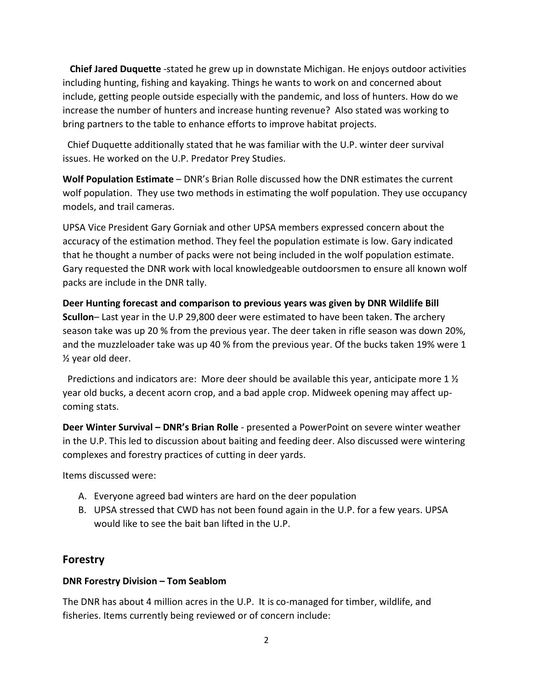**Chief Jared Duquette** -stated he grew up in downstate Michigan. He enjoys outdoor activities including hunting, fishing and kayaking. Things he wants to work on and concerned about include, getting people outside especially with the pandemic, and loss of hunters. How do we increase the number of hunters and increase hunting revenue? Also stated was working to bring partners to the table to enhance efforts to improve habitat projects.

 Chief Duquette additionally stated that he was familiar with the U.P. winter deer survival issues. He worked on the U.P. Predator Prey Studies.

**Wolf Population Estimate** – DNR's Brian Rolle discussed how the DNR estimates the current wolf population. They use two methods in estimating the wolf population. They use occupancy models, and trail cameras.

UPSA Vice President Gary Gorniak and other UPSA members expressed concern about the accuracy of the estimation method. They feel the population estimate is low. Gary indicated that he thought a number of packs were not being included in the wolf population estimate. Gary requested the DNR work with local knowledgeable outdoorsmen to ensure all known wolf packs are include in the DNR tally.

**Deer Hunting forecast and comparison to previous years was given by DNR Wildlife Bill Scullon**– Last year in the U.P 29,800 deer were estimated to have been taken. **T**he archery season take was up 20 % from the previous year. The deer taken in rifle season was down 20%, and the muzzleloader take was up 40 % from the previous year. Of the bucks taken 19% were 1 ½ year old deer.

Predictions and indicators are: More deer should be available this year, anticipate more 1  $\frac{1}{2}$ year old bucks, a decent acorn crop, and a bad apple crop. Midweek opening may affect upcoming stats.

**Deer Winter Survival – DNR's Brian Rolle** - presented a PowerPoint on severe winter weather in the U.P. This led to discussion about baiting and feeding deer. Also discussed were wintering complexes and forestry practices of cutting in deer yards.

Items discussed were:

- A. Everyone agreed bad winters are hard on the deer population
- B. UPSA stressed that CWD has not been found again in the U.P. for a few years. UPSA would like to see the bait ban lifted in the U.P.

## **Forestry**

#### **DNR Forestry Division – Tom Seablom**

The DNR has about 4 million acres in the U.P. It is co-managed for timber, wildlife, and fisheries. Items currently being reviewed or of concern include: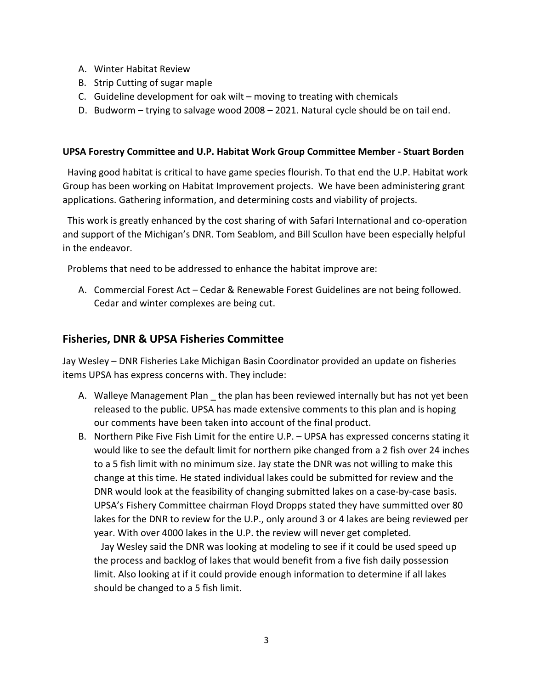- A. Winter Habitat Review
- B. Strip Cutting of sugar maple
- C. Guideline development for oak wilt moving to treating with chemicals
- D. Budworm trying to salvage wood 2008 2021. Natural cycle should be on tail end.

#### **UPSA Forestry Committee and U.P. Habitat Work Group Committee Member - Stuart Borden**

 Having good habitat is critical to have game species flourish. To that end the U.P. Habitat work Group has been working on Habitat Improvement projects. We have been administering grant applications. Gathering information, and determining costs and viability of projects.

 This work is greatly enhanced by the cost sharing of with Safari International and co-operation and support of the Michigan's DNR. Tom Seablom, and Bill Scullon have been especially helpful in the endeavor.

Problems that need to be addressed to enhance the habitat improve are:

A. Commercial Forest Act – Cedar & Renewable Forest Guidelines are not being followed. Cedar and winter complexes are being cut.

#### **Fisheries, DNR & UPSA Fisheries Committee**

Jay Wesley – DNR Fisheries Lake Michigan Basin Coordinator provided an update on fisheries items UPSA has express concerns with. They include:

- A. Walleye Management Plan the plan has been reviewed internally but has not yet been released to the public. UPSA has made extensive comments to this plan and is hoping our comments have been taken into account of the final product.
- B. Northern Pike Five Fish Limit for the entire U.P. UPSA has expressed concerns stating it would like to see the default limit for northern pike changed from a 2 fish over 24 inches to a 5 fish limit with no minimum size. Jay state the DNR was not willing to make this change at this time. He stated individual lakes could be submitted for review and the DNR would look at the feasibility of changing submitted lakes on a case-by-case basis. UPSA's Fishery Committee chairman Floyd Dropps stated they have summitted over 80 lakes for the DNR to review for the U.P., only around 3 or 4 lakes are being reviewed per year. With over 4000 lakes in the U.P. the review will never get completed.

 Jay Wesley said the DNR was looking at modeling to see if it could be used speed up the process and backlog of lakes that would benefit from a five fish daily possession limit. Also looking at if it could provide enough information to determine if all lakes should be changed to a 5 fish limit.